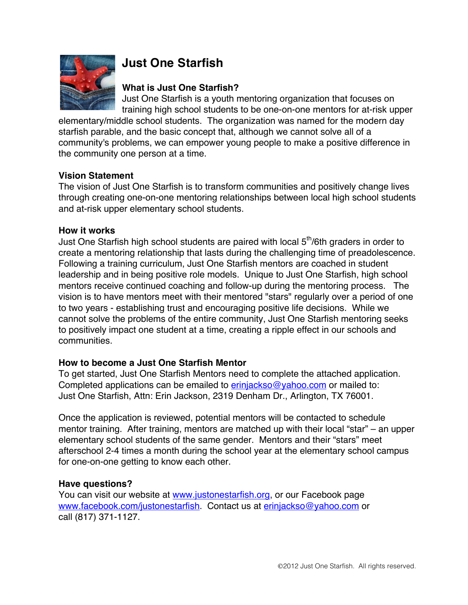

# **Just One Starfish**

## **What is Just One Starfish?**

Just One Starfish is a youth mentoring organization that focuses on training high school students to be one-on-one mentors for at-risk upper

elementary/middle school students. The organization was named for the modern day starfish parable, and the basic concept that, although we cannot solve all of a community's problems, we can empower young people to make a positive difference in the community one person at a time.

### **Vision Statement**

The vision of Just One Starfish is to transform communities and positively change lives through creating one-on-one mentoring relationships between local high school students and at-risk upper elementary school students.

### **How it works**

Just One Starfish high school students are paired with local  $5<sup>th</sup>/6$ th graders in order to create a mentoring relationship that lasts during the challenging time of preadolescence. Following a training curriculum, Just One Starfish mentors are coached in student leadership and in being positive role models. Unique to Just One Starfish, high school mentors receive continued coaching and follow-up during the mentoring process. The vision is to have mentors meet with their mentored "stars" regularly over a period of one to two years - establishing trust and encouraging positive life decisions. While we cannot solve the problems of the entire community, Just One Starfish mentoring seeks to positively impact one student at a time, creating a ripple effect in our schools and communities.

## **How to become a Just One Starfish Mentor**

To get started, Just One Starfish Mentors need to complete the attached application. Completed applications can be emailed to erinjackso@yahoo.com or mailed to: Just One Starfish, Attn: Erin Jackson, 2319 Denham Dr., Arlington, TX 76001.

Once the application is reviewed, potential mentors will be contacted to schedule mentor training. After training, mentors are matched up with their local "star" – an upper elementary school students of the same gender. Mentors and their "stars" meet afterschool 2-4 times a month during the school year at the elementary school campus for one-on-one getting to know each other.

## **Have questions?**

You can visit our website at www.justonestarfish.org, or our Facebook page www.facebook.com/justonestarfish. Contact us at erinjackso@yahoo.com or call (817) 371-1127.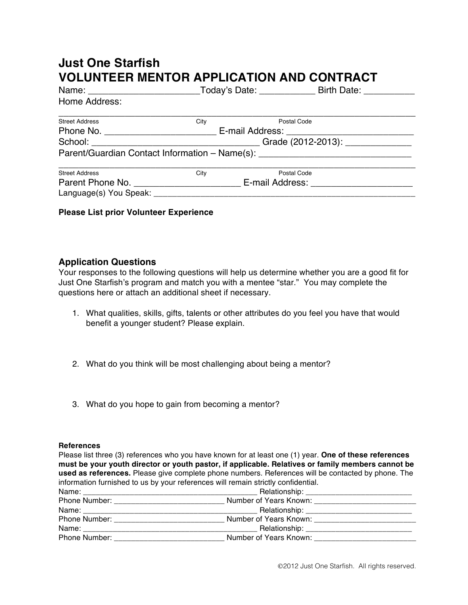## **Just One Starfish VOLUNTEER MENTOR APPLICATION AND CONTRACT**

|                       |                                                                                                      | Name: __________________________________Today's Date: __________________Birth Date: _______________ |  |
|-----------------------|------------------------------------------------------------------------------------------------------|-----------------------------------------------------------------------------------------------------|--|
| Home Address:         |                                                                                                      |                                                                                                     |  |
| <b>Street Address</b> | City                                                                                                 | Postal Code                                                                                         |  |
|                       |                                                                                                      |                                                                                                     |  |
|                       |                                                                                                      |                                                                                                     |  |
|                       |                                                                                                      | Parent/Guardian Contact Information - Name(s): _________________________________                    |  |
| <b>Street Address</b> | City                                                                                                 | Postal Code                                                                                         |  |
|                       | Parent Phone No. __________________________________ E-mail Address: ________________________________ |                                                                                                     |  |
|                       |                                                                                                      |                                                                                                     |  |

#### **Please List prior Volunteer Experience**

#### **Application Questions**

Your responses to the following questions will help us determine whether you are a good fit for Just One Starfish's program and match you with a mentee "star." You may complete the questions here or attach an additional sheet if necessary.

- 1. What qualities, skills, gifts, talents or other attributes do you feel you have that would benefit a younger student? Please explain.
- 2. What do you think will be most challenging about being a mentor?
- 3. What do you hope to gain from becoming a mentor?

#### **References**

Please list three (3) references who you have known for at least one (1) year. **One of these references must be your youth director or youth pastor, if applicable. Relatives or family members cannot be used as references.** Please give complete phone numbers. References will be contacted by phone. The information furnished to us by your references will remain strictly confidential.

| Name:                                                                                                                                                                                                                               |                                                |  |
|-------------------------------------------------------------------------------------------------------------------------------------------------------------------------------------------------------------------------------------|------------------------------------------------|--|
| Phone Number:                                                                                                                                                                                                                       | Number of Years Known: _____________________   |  |
| Name:                                                                                                                                                                                                                               |                                                |  |
| Phone Number:                                                                                                                                                                                                                       | Number of Years Known:                         |  |
|                                                                                                                                                                                                                                     | Relationship: ___________________________      |  |
| <b>Phone Number:</b> The Contract of the Contract of the Contract of the Contract of the Contract of the Contract of the Contract of the Contract of the Contract of the Contract of the Contract of the Contract of the Contract o | Number of Years Known: Number of Years Andrews |  |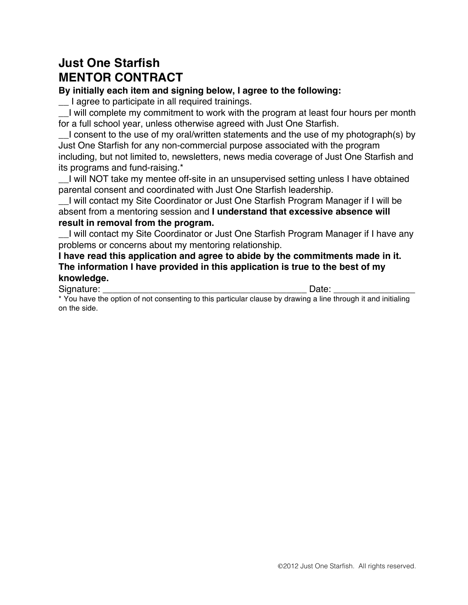# **Just One Starfish MENTOR CONTRACT**

**By initially each item and signing below, I agree to the following:** 

\_\_ I agree to participate in all required trainings.

\_\_I will complete my commitment to work with the program at least four hours per month for a full school year, unless otherwise agreed with Just One Starfish.

I consent to the use of my oral/written statements and the use of my photograph(s) by Just One Starfish for any non-commercial purpose associated with the program including, but not limited to, newsletters, news media coverage of Just One Starfish and its programs and fund-raising.\*

\_\_I will NOT take my mentee off-site in an unsupervised setting unless I have obtained parental consent and coordinated with Just One Starfish leadership.

\_\_I will contact my Site Coordinator or Just One Starfish Program Manager if I will be absent from a mentoring session and **I understand that excessive absence will result in removal from the program.** 

\_\_I will contact my Site Coordinator or Just One Starfish Program Manager if I have any problems or concerns about my mentoring relationship.

**I have read this application and agree to abide by the commitments made in it. The information I have provided in this application is true to the best of my knowledge.** 

Signature: \_\_\_\_\_\_\_\_\_\_\_\_\_\_\_\_\_\_\_\_\_\_\_\_\_\_\_\_\_\_\_\_\_\_\_\_\_\_\_\_ Date: \_\_\_\_\_\_\_\_\_\_\_\_\_\_\_\_

\* You have the option of not consenting to this particular clause by drawing a line through it and initialing on the side.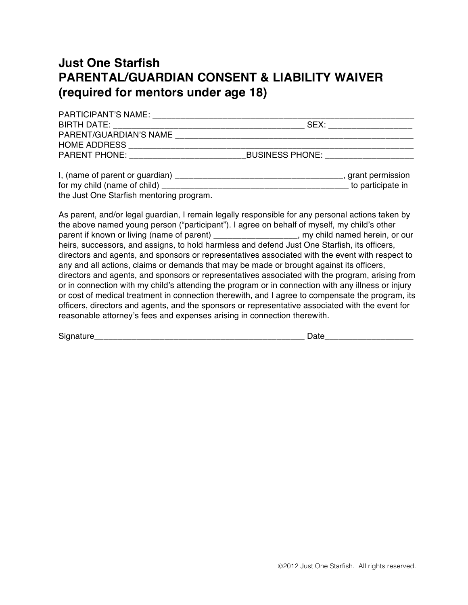## **Just One Starfish PARENTAL/GUARDIAN CONSENT & LIABILITY WAIVER (required for mentors under age 18)**

| <b>PARTICIPANT'S NAME:</b> |                 |
|----------------------------|-----------------|
| BIRTH DATE:                | $S$ – X $\cdot$ |
| PARENT/GUARDIAN'S NAME     |                 |
| <b>HOME ADDRESS</b>        |                 |
| <b>PARENT PHONE:</b>       | BUSINESS PHONE: |
|                            |                 |

I, (name of parent or guardian) \_\_\_\_\_\_\_\_\_\_\_\_\_\_\_\_\_\_\_\_\_\_\_\_\_\_\_\_\_\_\_\_\_\_\_\_, grant permission for my child (name of child)  $\blacksquare$ the Just One Starfish mentoring program.

As parent, and/or legal guardian, I remain legally responsible for any personal actions taken by the above named young person ("participant"). I agree on behalf of myself, my child's other parent if known or living (name of parent) \_\_\_\_\_\_\_\_\_\_\_\_\_\_\_\_\_\_, my child named herein, or our heirs, successors, and assigns, to hold harmless and defend Just One Starfish, its officers, directors and agents, and sponsors or representatives associated with the event with respect to any and all actions, claims or demands that may be made or brought against its officers, directors and agents, and sponsors or representatives associated with the program, arising from or in connection with my child's attending the program or in connection with any illness or injury or cost of medical treatment in connection therewith, and I agree to compensate the program, its officers, directors and agents, and the sponsors or representative associated with the event for reasonable attorney's fees and expenses arising in connection therewith.

| Signature |  |
|-----------|--|
|           |  |

Signature\_\_\_\_\_\_\_\_\_\_\_\_\_\_\_\_\_\_\_\_\_\_\_\_\_\_\_\_\_\_\_\_\_\_\_\_\_\_\_\_\_\_\_\_\_ Date\_\_\_\_\_\_\_\_\_\_\_\_\_\_\_\_\_\_\_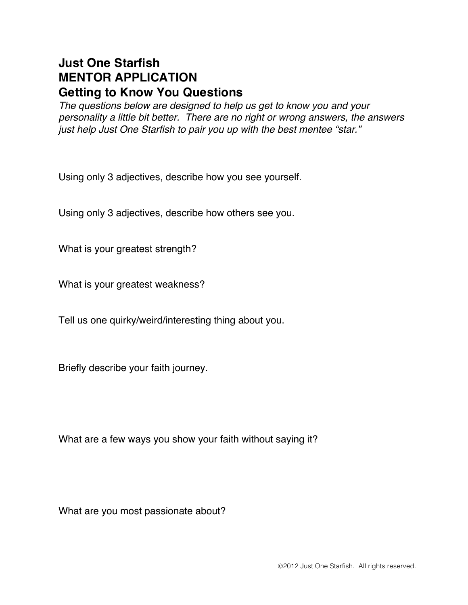## **Just One Starfish MENTOR APPLICATION Getting to Know You Questions**

*The questions below are designed to help us get to know you and your personality a little bit better. There are no right or wrong answers, the answers just help Just One Starfish to pair you up with the best mentee "star."* 

Using only 3 adjectives, describe how you see yourself.

Using only 3 adjectives, describe how others see you.

What is your greatest strength?

What is your greatest weakness?

Tell us one quirky/weird/interesting thing about you.

Briefly describe your faith journey.

What are a few ways you show your faith without saying it?

What are you most passionate about?